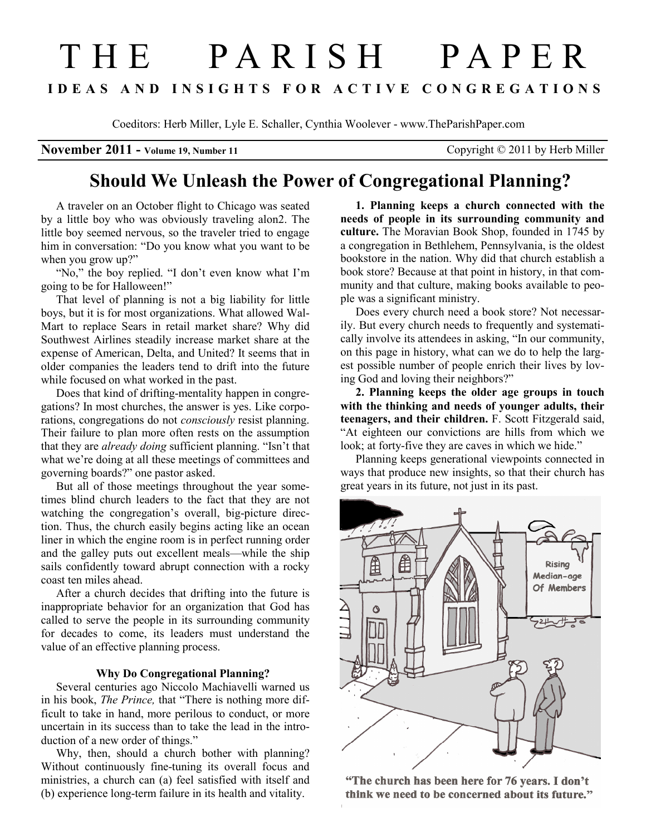## T H E P A R I S H P A P E R I D E A S A N D I N S I G H T S F O R A C T I V E C O N G R E G A T I O N S

Coeditors: Herb Miller, Lyle E. Schaller, Cynthia Woolever - www.TheParishPaper.com

November 2011 - Volume 19, Number 11 Copyright © 2011 by Herb Miller

## Should We Unleash the Power of Congregational Planning?

A traveler on an October flight to Chicago was seated by a little boy who was obviously traveling alon2. The little boy seemed nervous, so the traveler tried to engage him in conversation: "Do you know what you want to be when you grow up?"

"No," the boy replied. "I don't even know what I'm going to be for Halloween!"

That level of planning is not a big liability for little boys, but it is for most organizations. What allowed Wal-Mart to replace Sears in retail market share? Why did Southwest Airlines steadily increase market share at the expense of American, Delta, and United? It seems that in older companies the leaders tend to drift into the future while focused on what worked in the past.

Does that kind of drifting-mentality happen in congregations? In most churches, the answer is yes. Like corporations, congregations do not *consciously* resist planning. Their failure to plan more often rests on the assumption that they are *already doing* sufficient planning. "Isn't that what we're doing at all these meetings of committees and governing boards?" one pastor asked.

But all of those meetings throughout the year sometimes blind church leaders to the fact that they are not watching the congregation's overall, big-picture direction. Thus, the church easily begins acting like an ocean liner in which the engine room is in perfect running order and the galley puts out excellent meals—while the ship sails confidently toward abrupt connection with a rocky coast ten miles ahead.

After a church decides that drifting into the future is inappropriate behavior for an organization that God has called to serve the people in its surrounding community for decades to come, its leaders must understand the value of an effective planning process.

## Why Do Congregational Planning?

Several centuries ago Niccolo Machiavelli warned us in his book, The Prince, that "There is nothing more difficult to take in hand, more perilous to conduct, or more uncertain in its success than to take the lead in the introduction of a new order of things."

Why, then, should a church bother with planning? Without continuously fine-tuning its overall focus and ministries, a church can (a) feel satisfied with itself and (b) experience long-term failure in its health and vitality.

1. Planning keeps a church connected with the needs of people in its surrounding community and culture. The Moravian Book Shop, founded in 1745 by a congregation in Bethlehem, Pennsylvania, is the oldest bookstore in the nation. Why did that church establish a book store? Because at that point in history, in that community and that culture, making books available to people was a significant ministry.

Does every church need a book store? Not necessarily. But every church needs to frequently and systematically involve its attendees in asking, "In our community, on this page in history, what can we do to help the largest possible number of people enrich their lives by loving God and loving their neighbors?"

2. Planning keeps the older age groups in touch with the thinking and needs of younger adults, their teenagers, and their children. F. Scott Fitzgerald said, "At eighteen our convictions are hills from which we look; at forty-five they are caves in which we hide."

Planning keeps generational viewpoints connected in ways that produce new insights, so that their church has great years in its future, not just in its past.



"The church has been here for 76 years. I don't think we need to be concerned about its future."